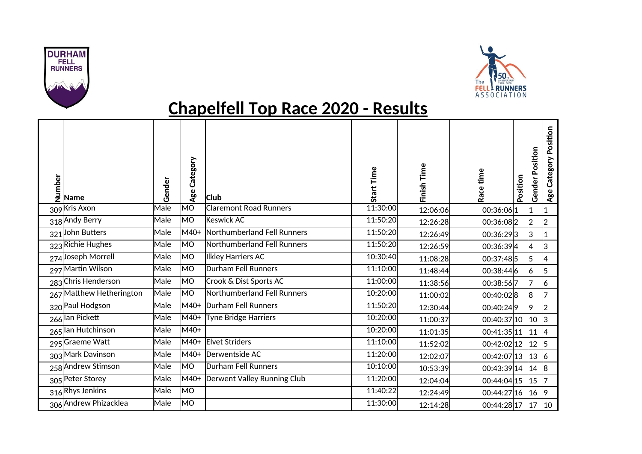



## **Chapelfell Top Race 2020 - Results**

| $\begin{array}{c}\n \stackrel{\text{b}}{=} \\ \stackrel{\text{f}}{=} \\ \stackrel{\text{Name}}{=} \\ \end{array}$ | Gender | Category<br>Age        | <b>Club</b>                   | Start Time | Finish Time | Race time   | Position | Position<br>Gender | Category Position<br>Age |
|-------------------------------------------------------------------------------------------------------------------|--------|------------------------|-------------------------------|------------|-------------|-------------|----------|--------------------|--------------------------|
| 309 Kris Axon                                                                                                     | Male   | $\overline{\text{MO}}$ | <b>Claremont Road Runners</b> | 11:30:00   | 12:06:06    | 00:36:06 1  |          | 11                 | $\mathbf{1}$             |
| 318 Andy Berry                                                                                                    | Male   | M <sub>O</sub>         | Keswick AC                    | 11:50:20   | 12:26:28    | 00:36:08 2  |          | 2                  | $\overline{2}$           |
| 321 John Butters                                                                                                  | Male   | M40+                   | Northumberland Fell Runners   | 11:50:20   | 12:26:49    | 00:36:29 3  |          | 3                  | $\mathbf{1}$             |
| 323 Richie Hughes                                                                                                 | Male   | <b>MO</b>              | Northumberland Fell Runners   | 11:50:20   | 12:26:59    | 00:36:39 4  |          | 4                  | 3                        |
| 274 Joseph Morrell                                                                                                | Male   | MO                     | Ilkley Harriers AC            | 10:30:40   | 11:08:28    | 00:37:48 5  |          | l5                 | 4                        |
| 297 Martin Wilson                                                                                                 | Male   | MO                     | <b>Durham Fell Runners</b>    | 11:10:00   | 11:48:44    | 00:38:44 6  |          | 16                 | 5                        |
| 283 Chris Henderson                                                                                               | Male   | MO                     | Crook & Dist Sports AC        | 11:00:00   | 11:38:56    | 00:38:567   |          | 17                 | 6                        |
| 267 Matthew Hetherington                                                                                          | Male   | MO                     | Northumberland Fell Runners   | 10:20:00   | 11:00:02    | 00:40:028   |          | 8                  |                          |
| 320 Paul Hodgson                                                                                                  | Male   | M40+                   | Durham Fell Runners           | 11:50:20   | 12:30:44    | 00:40:249   |          | 19                 | 2                        |
| 266 lan Pickett                                                                                                   | Male   | M40+                   | Tyne Bridge Harriers          | 10:20:00   | 11:00:37    | 00:40:37 10 |          | 10                 | IЗ                       |
| 265 lan Hutchinson                                                                                                | Male   | M40+                   |                               | 10:20:00   | 11:01:35    | 00:41:35 11 |          | 11                 | 4                        |
| 295 Graeme Watt                                                                                                   | Male   | M40+                   | <b>Elvet Striders</b>         | 11:10:00   | 11:52:02    | 00:42:02 12 |          | 12                 | 5                        |
| 303 Mark Davinson                                                                                                 | Male   | M40+                   | Derwentside AC                | 11:20:00   | 12:02:07    | 00:42:07 13 |          | 13                 | $\overline{6}$           |
| 258 Andrew Stimson                                                                                                | Male   | MO                     | Durham Fell Runners           | 10:10:00   | 10:53:39    | 00:43:39 14 |          | 14                 | 8                        |
| 305 Peter Storey                                                                                                  | Male   | M40+                   | Derwent Valley Running Club   | 11:20:00   | 12:04:04    | 00:44:04 15 |          | 15                 |                          |
| 316 Rhys Jenkins                                                                                                  | Male   | MO                     |                               | 11:40:22   | 12:24:49    | 00:44:27 16 |          | 16                 | 19                       |
| 306 Andrew Phizacklea                                                                                             | Male   | <b>MO</b>              |                               | 11:30:00   | 12:14:28    | 00:44:28 17 |          | 17                 | 10                       |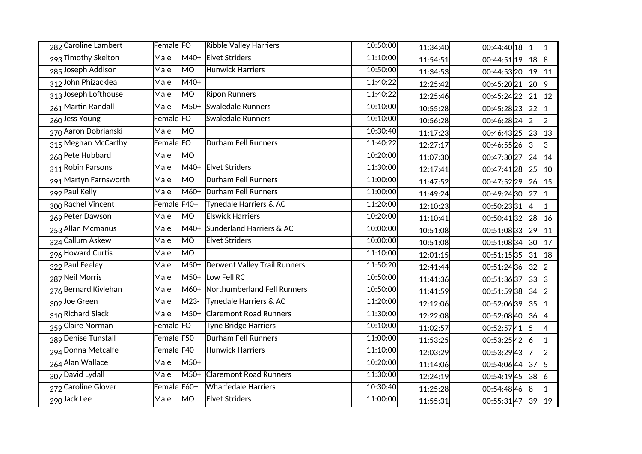| 282 Caroline Lambert  | Female FO            |                        | <b>Ribble Valley Harriers</b>     | 10:50:00 | 11:34:40 | $00:44:40 18$  1 |              | $\vert$ 1      |
|-----------------------|----------------------|------------------------|-----------------------------------|----------|----------|------------------|--------------|----------------|
| 293 Timothy Skelton   | Male                 | M40+                   | <b>Elvet Striders</b>             | 11:10:00 | 11:54:51 | 00:44:51 19      | $ 18\rangle$ | 8              |
| 285 Joseph Addison    | Male                 | MO                     | <b>Hunwick Harriers</b>           | 10:50:00 | 11:34:53 | 00:44:53 20      | $ 19\rangle$ | 11             |
| 312 John Phizacklea   | Male                 | M40+                   |                                   | 11:40:22 | 12:25:42 | 00:45:20 21      | $ 20\rangle$ | 9              |
| 313 Joseph Lofthouse  | Male                 | MO                     | <b>Ripon Runners</b>              | 11:40:22 | 12:25:46 | 00:45:24 22      | 21           | $ 12\rangle$   |
| 261 Martin Randall    | Male                 |                        | M50+ Swaledale Runners            | 10:10:00 | 10:55:28 | 00:45:28 23      | 22           | $\vert$ 1      |
| 260 Jess Young        | Female FO            |                        | <b>Swaledale Runners</b>          | 10:10:00 | 10:56:28 | 00:46:28 24      | 2            | $\overline{2}$ |
| 270 Aaron Dobrianski  | Male                 | MO                     |                                   | 10:30:40 | 11:17:23 | 00:46:43 25      | 23           | 13             |
| 315 Meghan McCarthy   | Female <sub>FO</sub> |                        | Durham Fell Runners               | 11:40:22 | 12:27:17 | 00:46:55 26      | 3            | 3              |
| 268 Pete Hubbard      | Male                 | MO                     |                                   | 10:20:00 | 11:07:30 | 00:47:30 27      | 24           | $ 14\rangle$   |
| 311 Robin Parsons     | Male                 |                        | M40+ Elvet Striders               | 11:30:00 | 12:17:41 | 00:47:41 28      | 25           | 10             |
| 291 Martyn Farnsworth | Male                 | MO                     | <b>Durham Fell Runners</b>        | 11:00:00 | 11:47:52 | 00:47:52 29      | 26           | 15             |
| 292 Paul Kelly        | Male                 |                        | M60+ Durham Fell Runners          | 11:00:00 | 11:49:24 | 00:49:24 30      | 27           | $\vert$ 1      |
| 300 Rachel Vincent    | Female F40+          |                        | Tynedale Harriers & AC            | 11:20:00 | 12:10:23 | 00:50:23 31      | $ 4\rangle$  | $\overline{1}$ |
| 269 Peter Dawson      | Male                 | $\overline{\text{MO}}$ | <b>Elswick Harriers</b>           | 10:20:00 | 11:10:41 | 00:50:41 32      | 28           | 16             |
| 253 Allan Mcmanus     | Male                 | M40+                   | Sunderland Harriers & AC          | 10:00:00 | 10:51:08 | 00:51:0833       | $ 29\rangle$ | $ 11\rangle$   |
| 324 Callum Askew      | <b>Male</b>          | MO                     | <b>Elvet Striders</b>             | 10:00:00 | 10:51:08 | 00:51:0834       | 30           | 17             |
| 296 Howard Curtis     | Male                 | MO                     |                                   | 11:10:00 | 12:01:15 | 00:51:15 35      | 31           | 18             |
| 322 Paul Feeley       | Male                 |                        | M50+ Derwent Valley Trail Runners | 11:50:20 | 12:41:44 | 00:51:24 36      | 32           | $\overline{2}$ |
| 287 Neil Morris       | Male                 | $M50+$                 | Low Fell RC                       | 10:50:00 | 11:41:36 | 00:51:3637       | 33           | 3              |
| 276 Bernard Kivlehan  | Male                 |                        | M60+ Northumberland Fell Runners  | 10:50:00 | 11:41:59 | 00:51:5938       | 34           | $\overline{2}$ |
| 302 Joe Green         | Male                 | M23-                   | Tynedale Harriers & AC            | 11:20:00 | 12:12:06 | 00:52:06 39      | 35           | $\vert$ 1      |
| 310 Richard Slack     | Male                 |                        | M50+ Claremont Road Runners       | 11:30:00 | 12:22:08 | 00:52:08 40      | 36           | 4              |
| 259 Claire Norman     | Female FO            |                        | <b>Tyne Bridge Harriers</b>       | 10:10:00 | 11:02:57 | 00:52:5741       | 5            |                |
| 289 Denise Tunstall   | Female F50+          |                        | <b>Durham Fell Runners</b>        | 11:00:00 | 11:53:25 | 00:53:25 42      | 6            | $\mathbf{1}$   |
| 294 Donna Metcalfe    | Female F40+          |                        | Hunwick Harriers                  | 11:10:00 | 12:03:29 | 00:53:2943       | 7            | $\overline{2}$ |
| 264 Alan Wallace      | <b>Male</b>          | $M50+$                 |                                   | 10:20:00 | 11:14:06 | 00:54:06 44      | 37           | 5              |
| 307 David Lydall      | <b>Male</b>          |                        | M50+ Claremont Road Runners       | 11:30:00 | 12:24:19 | 00:54:1945       | 38           | 6              |
| 272 Caroline Glover   | Female F60+          |                        | <b>Wharfedale Harriers</b>        | 10:30:40 | 11:25:28 | 00:54:48 46      | 8            |                |
| 290Jack Lee           | Male                 | MO                     | <b>Elvet Striders</b>             | 11:00:00 | 11:55:31 | 00:55:3147 39    |              | 19             |
|                       |                      |                        |                                   |          |          |                  |              |                |